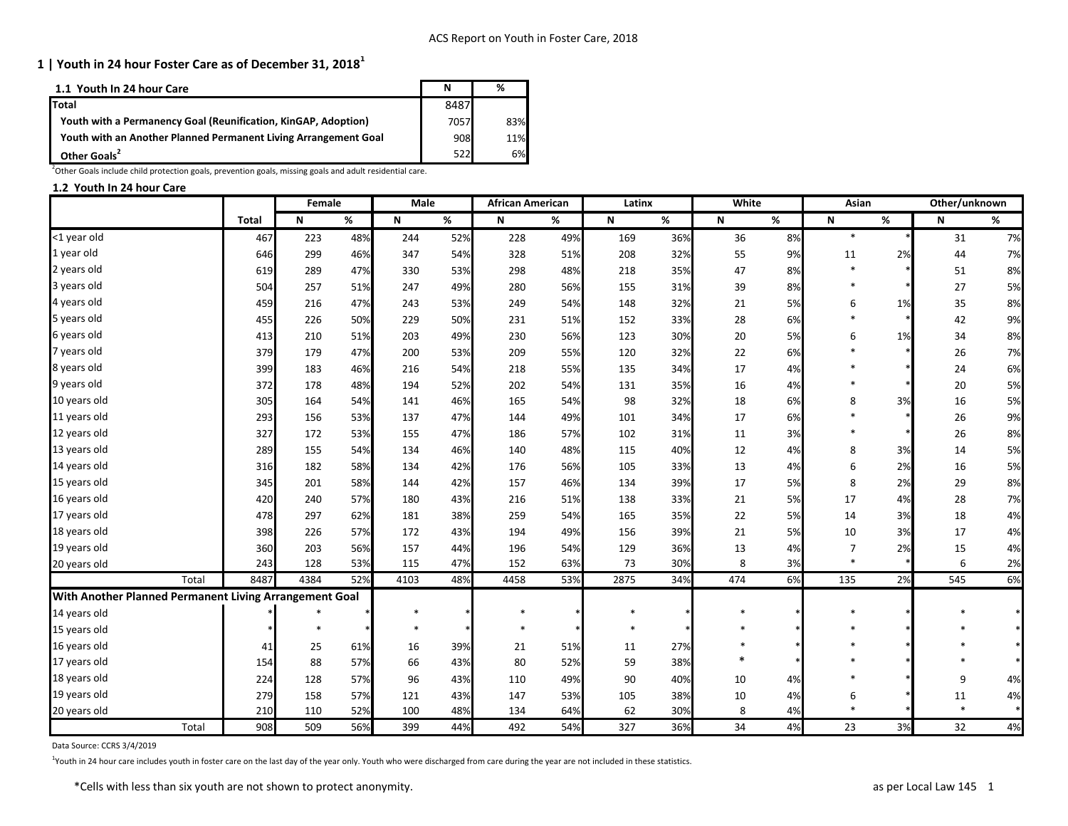| 1.1 Youth In 24 hour Care                                       |      | %   |
|-----------------------------------------------------------------|------|-----|
| <b>Total</b>                                                    | 8487 |     |
| Youth with a Permanency Goal (Reunification, KinGAP, Adoption)  | 7057 | 83% |
| Youth with an Another Planned Permanent Living Arrangement Goal | 908  | 11% |
| Other Goals <sup>2</sup>                                        | 522  | 6%l |

 $^{2}$ Other Goals include child protection goals, prevention goals, missing goals and adult residential care.

### **1.2 Youth In 24 hour Care**

|                                                        |              | Female       |      | <b>Male</b>               |        | <b>African American</b> |      | Latinx |      | White                     |      | Asian     |      | Other/unknown |    |
|--------------------------------------------------------|--------------|--------------|------|---------------------------|--------|-------------------------|------|--------|------|---------------------------|------|-----------|------|---------------|----|
|                                                        | <b>Total</b> | $\mathsf{N}$ | $\%$ | $\boldsymbol{\mathsf{N}}$ | %      | N                       | $\%$ | N      | $\%$ | $\boldsymbol{\mathsf{N}}$ | $\%$ | ${\sf N}$ | $\%$ | N             | %  |
| <1 year old                                            | 467          | 223          | 48%  | 244                       | 52%    | 228                     | 49%  | 169    | 36%  | 36                        | 8%   | $\ast$    |      | 31            | 7% |
| 1 year old                                             | 646          | 299          | 46%  | 347                       | 54%    | 328                     | 51%  | 208    | 32%  | 55                        | 9%   | 11        | 2%   | 44            | 7% |
| 2 years old                                            | 619          | 289          | 47%  | 330                       | 53%    | 298                     | 48%  | 218    | 35%  | 47                        | 8%   | $\ast$    |      | 51            | 8% |
| 3 years old                                            | 504          | 257          | 51%  | 247                       | 49%    | 280                     | 56%  | 155    | 31%  | 39                        | 8%   |           |      | 27            | 5% |
| 4 years old                                            | 459          | 216          | 47%  | 243                       | 53%    | 249                     | 54%  | 148    | 32%  | 21                        | 5%   | 6         | 1%   | 35            | 8% |
| 5 years old                                            | 455          | 226          | 50%  | 229                       | 50%    | 231                     | 51%  | 152    | 33%  | 28                        | 6%   |           |      | 42            | 9% |
| 6 years old                                            | 413          | 210          | 51%  | 203                       | 49%    | 230                     | 56%  | 123    | 30%  | 20                        | 5%   | 6         | 1%   | 34            | 8% |
| 7 years old                                            | 379          | 179          | 47%  | 200                       | 53%    | 209                     | 55%  | 120    | 32%  | 22                        | 6%   |           |      | 26            | 7% |
| 8 years old                                            | 399          | 183          | 46%  | 216                       | 54%    | 218                     | 55%  | 135    | 34%  | 17                        | 4%   |           |      | 24            | 6% |
| 9 years old                                            | 372          | 178          | 48%  | 194                       | 52%    | 202                     | 54%  | 131    | 35%  | 16                        | 4%   |           |      | 20            | 5% |
| 10 years old                                           | 305          | 164          | 54%  | 141                       | 46%    | 165                     | 54%  | 98     | 32%  | 18                        | 6%   | 8         | 3%   | 16            | 5% |
| 11 years old                                           | 293          | 156          | 53%  | 137                       | 47%    | 144                     | 49%  | 101    | 34%  | 17                        | 6%   |           |      | 26            | 9% |
| 12 years old                                           | 327          | 172          | 53%  | 155                       | 47%    | 186                     | 57%  | 102    | 31%  | 11                        | 3%   | $\ast$    |      | 26            | 8% |
| 13 years old                                           | 289          | 155          | 54%  | 134                       | 46%    | 140                     | 48%  | 115    | 40%  | 12                        | 4%   | $\bf 8$   | 3%   | 14            | 5% |
| 14 years old                                           | 316          | 182          | 58%  | 134                       | 42%    | 176                     | 56%  | 105    | 33%  | 13                        | 4%   | 6         | 2%   | 16            | 5% |
| 15 years old                                           | 345          | 201          | 58%  | 144                       | 42%    | 157                     | 46%  | 134    | 39%  | 17                        | 5%   | 8         | 2%   | 29            | 8% |
| 16 years old                                           | 420          | 240          | 57%  | 180                       | 43%    | 216                     | 51%  | 138    | 33%  | 21                        | 5%   | 17        | 4%   | 28            | 7% |
| 17 years old                                           | 478          | 297          | 62%  | 181                       | 38%    | 259                     | 54%  | 165    | 35%  | 22                        | 5%   | 14        | 3%   | 18            | 4% |
| 18 years old                                           | 398          | 226          | 57%  | 172                       | 43%    | 194                     | 49%  | 156    | 39%  | 21                        | 5%   | 10        | 3%   | 17            | 4% |
| 19 years old                                           | 360          | 203          | 56%  | 157                       | 44%    | 196                     | 54%  | 129    | 36%  | 13                        | 4%   | 7         | 2%   | 15            | 4% |
| 20 years old                                           | 243          | 128          | 53%  | 115                       | 47%    | 152                     | 63%  | 73     | 30%  | 8                         | 3%   | $\ast$    |      | 6             | 2% |
| Total                                                  | 8487         | 4384         | 52%  | 4103                      | 48%    | 4458                    | 53%  | 2875   | 34%  | 474                       | 6%   | 135       | 2%   | 545           | 6% |
| With Another Planned Permanent Living Arrangement Goal |              |              |      |                           |        |                         |      |        |      |                           |      |           |      |               |    |
| 14 years old                                           |              |              |      |                           | $\ast$ | $\ast$                  |      | $\ast$ |      |                           |      | $\ast$    |      |               |    |
| 15 years old                                           |              | $\ast$       |      | $\ast$                    |        | $\ast$                  |      | $\ast$ |      |                           |      | $\ast$    |      |               |    |
| 16 years old                                           | 41           | 25           | 61%  | 16                        | 39%    | 21                      | 51%  | 11     | 27%  |                           |      |           |      |               |    |
| 17 years old                                           | 154          | 88           | 57%  | 66                        | 43%    | 80                      | 52%  | 59     | 38%  | $\ast$                    |      |           |      |               |    |
| 18 years old                                           | 224          | 128          | 57%  | 96                        | 43%    | 110                     | 49%  | 90     | 40%  | 10                        | 4%   |           |      | 9             | 4% |
| 19 years old                                           | 279          | 158          | 57%  | 121                       | 43%    | 147                     | 53%  | 105    | 38%  | 10                        | 4%   | 6         |      | 11            | 4% |
| 20 years old                                           | 210          | 110          | 52%  | 100                       | 48%    | 134                     | 64%  | 62     | 30%  | 8                         | 4%   | $\ast$    |      | $\ast$        |    |
| Total                                                  | 908          | 509          | 56%  | 399                       | 44%    | 492                     | 54%  | 327    | 36%  | 34                        | 4%   | 23        | 3%   | 32            | 4% |

Data Source: CCRS 3/4/2019

<sup>1</sup>Youth in 24 hour care includes youth in foster care on the last day of the year only. Youth who were discharged from care during the year are not included in these statistics.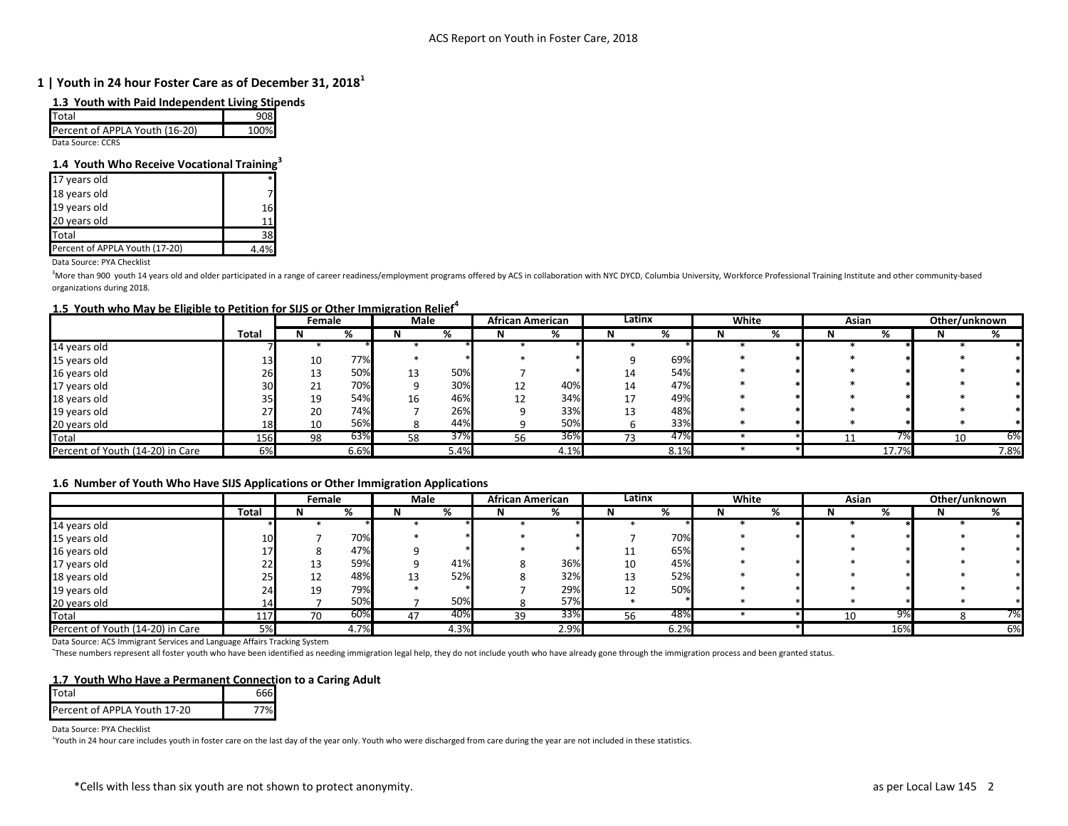#### **1.3 Youth with Paid Independent Living Stipends**

| <b>I</b> Total                 |      |
|--------------------------------|------|
| Percent of APPLA Youth (16-20) | 100% |
| Deta Callega, CODC             |      |

Data Source: CCRS

### **1.4 Youth Who Receive Vocational Training<sup>3</sup>**

| 17 years old                   |    |
|--------------------------------|----|
| 18 years old                   |    |
| 19 years old                   | 16 |
| 20 years old                   |    |
| Total                          | 38 |
| Percent of APPLA Youth (17-20) |    |

Data Source: PYA Checklist

<sup>3</sup>More than 900 youth 14 years old and older participated in a range of career readiness/employment programs offered by ACS in collaboration with NYC DYCD, Columbia University, Workforce Professional Training Institute an organizations during 2018.

#### **1.5 Youth who May be Eligible to Petition for SIJS or Other Immigration Relief<sup>4</sup>**

|                                  |              | Female |      | Male |      | <b>African American</b> |      | Latinx |      | White |   | Asian |       | Other/unknown |      |
|----------------------------------|--------------|--------|------|------|------|-------------------------|------|--------|------|-------|---|-------|-------|---------------|------|
|                                  | <b>Total</b> |        |      |      | %    | N.                      | %    | N      | %    |       | % |       | %     |               |      |
| 14 years old                     |              |        |      |      |      |                         |      |        |      |       |   |       |       |               |      |
| 15 years old                     |              | 10     | 77%  |      |      |                         |      |        | 69%  |       |   |       |       |               |      |
| 16 years old                     | 26           | 13     | 50%  | 13   | 50%  |                         |      | 14     | 54%  |       |   |       |       |               |      |
| 17 years old                     | 30           | 21     | 70%  |      | 30%  | 12                      | 40%  | 14     | 47%  |       |   |       |       |               |      |
| 18 years old                     |              | 19     | 54%  | 16   | 46%  | 12                      | 34%  | 17     | 49%  |       |   |       |       |               |      |
| 19 years old                     |              | 20     | 74%  |      | 26%  |                         | 33%  | 13     | 48%  |       |   |       |       |               |      |
| 20 years old                     | 18           | 10     | 56%  |      | 44%  |                         | 50%  |        | 33%  |       |   |       |       |               |      |
| Total                            | 156          | 98     | 63%  | 58   | 37%  | 56                      | 36%  |        | 47%  |       |   |       |       | 10            | 6%   |
| Percent of Youth (14-20) in Care | 6%           |        | 6.6% |      | 5.4% |                         | 4.1% |        | 8.1% |       |   |       | 17.7% |               | 7.8% |

#### **1.6 Number of Youth Who Have SIJS Applications or Other Immigration Applications**

|                                  |       | Female |      | Male |      | <b>African American</b> |      | Latinx |      | White |   | Asian |     | Other/unknown |    |
|----------------------------------|-------|--------|------|------|------|-------------------------|------|--------|------|-------|---|-------|-----|---------------|----|
|                                  | Total | N      | %    | N    | %    |                         | %    |        | %    | N     | % |       | %   |               | %  |
| 14 years old                     |       |        |      |      |      |                         |      |        |      |       |   |       |     |               |    |
| 15 years old                     | 10    |        | 70%  |      |      |                         |      |        | 70%  |       |   |       |     |               |    |
| 16 years old                     |       |        | 47%  |      |      |                         |      | 11     | 65%  |       |   |       |     |               |    |
| 17 years old                     |       | 13     | 59%  |      | 41%  | Ō                       | 36%  | 10     | 45%  |       |   |       |     |               |    |
| 18 years old                     | 23    | 12     | 48%  |      | 52%  |                         | 32%  | 13     | 52%  |       |   |       |     |               |    |
| 19 years old                     |       | 19     | 79%  |      |      |                         | 29%  | 12     | 50%  |       |   |       |     |               |    |
| 20 years old                     |       |        | 50%  |      | 50%  |                         | 57%  |        |      |       |   |       |     |               |    |
| <b>Total</b>                     | 117   | 70     | 60%  | 47   | 40%  | 39                      | 33%  | 56     | 48%  |       |   | 10    | 9%  |               | 7% |
| Percent of Youth (14-20) in Care | 5%    |        | 4.7% |      | 4.3% |                         | 2.9% |        | 6.2% |       |   |       | 16% |               | 6% |

Data Source: ACS Immigrant Services and Language Affairs Tracking System

4 These numbers represent all foster youth who have been identified as needing immigration legal help, they do not include youth who have already gone through the immigration process and been granted status.

#### **1.7 Youth Who Have a Permanent Connection to a Caring Adult**

| Total                        |  |
|------------------------------|--|
| Percent of APPLA Youth 17-20 |  |

Data Source: PYA Checklist

<sup>1</sup>Youth in 24 hour care includes youth in foster care on the last day of the year only. Youth who were discharged from care during the year are not included in these statistics.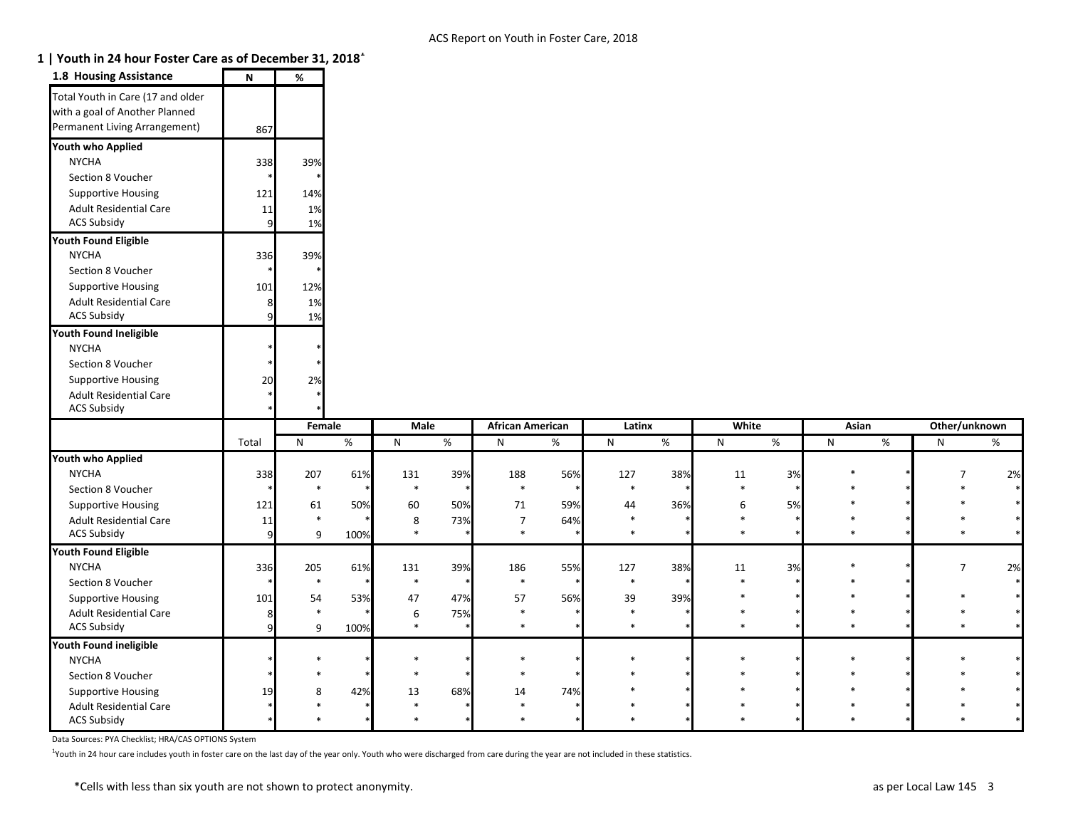ACS Subsidy \* \* \* \* \* \* \* \* \* \* \* \* \* \* \*

# **1 | Youth in 24 hour Foster Care as of December 31, 2018<sup>1</sup>**

| <b>1.8 Housing Assistance</b>                                                                        | N              | %      |      |              |        |                         |      |              |     |        |        |        |   |                |        |
|------------------------------------------------------------------------------------------------------|----------------|--------|------|--------------|--------|-------------------------|------|--------------|-----|--------|--------|--------|---|----------------|--------|
| Total Youth in Care (17 and older<br>with a goal of Another Planned<br>Permanent Living Arrangement) | 867            |        |      |              |        |                         |      |              |     |        |        |        |   |                |        |
| Youth who Applied                                                                                    |                |        |      |              |        |                         |      |              |     |        |        |        |   |                |        |
| <b>NYCHA</b>                                                                                         | 338            | 39%    |      |              |        |                         |      |              |     |        |        |        |   |                |        |
| Section 8 Voucher                                                                                    |                |        |      |              |        |                         |      |              |     |        |        |        |   |                |        |
| <b>Supportive Housing</b>                                                                            | $121$          | 14%    |      |              |        |                         |      |              |     |        |        |        |   |                |        |
| <b>Adult Residential Care</b>                                                                        | 11             | 1%     |      |              |        |                         |      |              |     |        |        |        |   |                |        |
| <b>ACS Subsidy</b>                                                                                   | $\overline{9}$ | 1%     |      |              |        |                         |      |              |     |        |        |        |   |                |        |
| <b>Youth Found Eligible</b>                                                                          |                |        |      |              |        |                         |      |              |     |        |        |        |   |                |        |
| <b>NYCHA</b>                                                                                         | 336            | 39%    |      |              |        |                         |      |              |     |        |        |        |   |                |        |
| Section 8 Voucher                                                                                    |                |        |      |              |        |                         |      |              |     |        |        |        |   |                |        |
| <b>Supportive Housing</b>                                                                            | 101            | 12%    |      |              |        |                         |      |              |     |        |        |        |   |                |        |
| <b>Adult Residential Care</b>                                                                        | 8              | 1%     |      |              |        |                         |      |              |     |        |        |        |   |                |        |
| <b>ACS Subsidy</b>                                                                                   | 9              | 1%     |      |              |        |                         |      |              |     |        |        |        |   |                |        |
| Youth Found Ineligible                                                                               |                |        |      |              |        |                         |      |              |     |        |        |        |   |                |        |
| <b>NYCHA</b>                                                                                         |                |        |      |              |        |                         |      |              |     |        |        |        |   |                |        |
| Section 8 Voucher                                                                                    |                |        |      |              |        |                         |      |              |     |        |        |        |   |                |        |
| <b>Supportive Housing</b>                                                                            | 20             | 2%     |      |              |        |                         |      |              |     |        |        |        |   |                |        |
| <b>Adult Residential Care</b>                                                                        |                |        |      |              |        |                         |      |              |     |        |        |        |   |                |        |
| <b>ACS Subsidy</b>                                                                                   |                |        |      |              |        |                         |      |              |     |        |        |        |   |                |        |
|                                                                                                      |                | Female |      | <b>Male</b>  |        | <b>African American</b> |      | Latinx       |     | White  |        | Asian  |   | Other/unknown  |        |
|                                                                                                      | Total          | N      | %    | $\mathsf{N}$ | %      | N                       | $\%$ | $\mathsf{N}$ | %   | N      | %      | N      | % | N              | %      |
| <b>Youth who Applied</b>                                                                             |                |        |      |              |        |                         |      |              |     |        |        |        |   |                |        |
| <b>NYCHA</b>                                                                                         | 338            | 207    | 61%  | 131          | 39%    | 188                     | 56%  | 127          | 38% | 11     | 3%     | $\ast$ |   | $\overline{7}$ | 2%     |
| Section 8 Voucher                                                                                    |                | $\ast$ |      | $\ast$       | $\ast$ | $\ast$                  |      | $\ast$       |     | $\ast$ | $\ast$ |        |   |                | $\ast$ |
| <b>Supportive Housing</b>                                                                            | $121$          | 61     | 50%  | 60           | 50%    | 71                      | 59%  | 44           | 36% | 6      | 5%     | $\ast$ |   |                | $\ast$ |
| <b>Adult Residential Care</b>                                                                        | 11             | $\ast$ |      | 8            | 73%    | $\overline{7}$          | 64%  | $\ast$       |     |        |        |        |   |                | $\ast$ |
| <b>ACS Subsidy</b>                                                                                   | $\overline{9}$ | 9      | 100% | $\ast$       |        | $\ast$                  |      | $\ast$       |     | $\ast$ |        | $\ast$ |   |                | $\ast$ |
| <b>Youth Found Eligible</b>                                                                          |                |        |      |              |        |                         |      |              |     |        |        |        |   |                |        |
| <b>NYCHA</b>                                                                                         | 336            | 205    | 61%  | 131          | 39%    | 186                     | 55%  | 127          | 38% | 11     | 3%     | $\ast$ |   | $\overline{7}$ | 2%     |
| Section 8 Voucher                                                                                    |                |        |      |              |        |                         |      |              |     |        |        |        |   |                |        |
| <b>Supportive Housing</b>                                                                            | 101            | 54     | 53%  | 47           | 47%    | 57                      | 56%  | 39           | 39% |        |        |        |   |                |        |
| <b>Adult Residential Care</b>                                                                        |                | $\ast$ |      | 6            | 75%    | $\ast$                  |      | $\ast$       |     |        |        |        |   |                |        |
| <b>ACS Subsidy</b>                                                                                   |                |        |      | $\ast$       |        | $\ast$                  |      | $\ast$       |     |        |        |        |   |                |        |
| Youth Found ineligible                                                                               | 9              | 9      | 100% |              |        |                         |      |              |     |        |        |        |   |                |        |
|                                                                                                      |                |        |      |              |        |                         |      |              |     |        |        |        |   |                |        |
| <b>NYCHA</b>                                                                                         |                |        |      |              |        |                         |      |              |     |        |        |        |   |                |        |
| Section 8 Voucher                                                                                    |                |        |      |              |        |                         |      |              |     |        |        |        |   |                |        |
| <b>Supportive Housing</b>                                                                            | 19             | 8      | 42%  | 13<br>$\ast$ | 68%    | 14<br>$\ast$            | 74%  |              |     |        |        |        |   |                |        |

Data Sources: PYA Checklist; HRA/CAS OPTIONS System

<sup>1</sup>Youth in 24 hour care includes youth in foster care on the last day of the year only. Youth who were discharged from care during the year are not included in these statistics.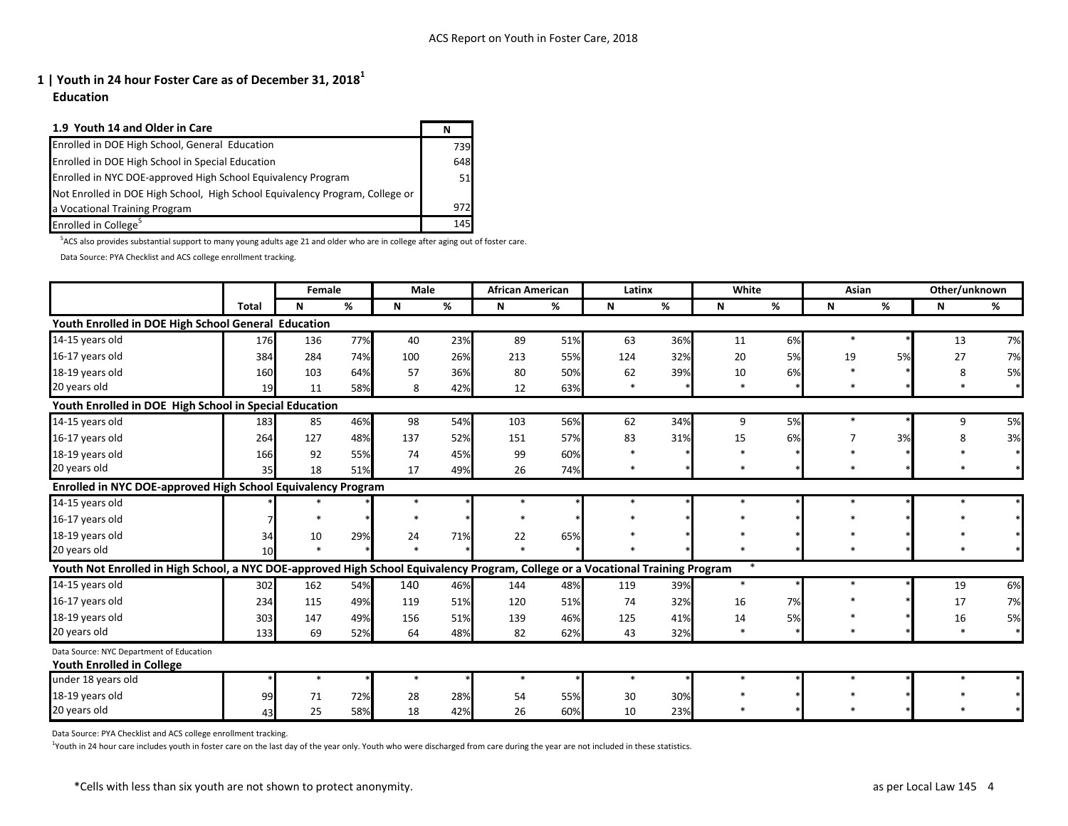**Education**

| 1.9 Youth 14 and Older in Care                                               | N   |
|------------------------------------------------------------------------------|-----|
| Enrolled in DOE High School, General Education                               | 739 |
| Enrolled in DOE High School in Special Education                             | 648 |
| Enrolled in NYC DOE-approved High School Equivalency Program                 | 51  |
| Not Enrolled in DOE High School, High School Equivalency Program, College or |     |
| a Vocational Training Program                                                | 972 |
| Enrolled in College <sup>5</sup>                                             | 145 |

<sup>5</sup>ACS also provides substantial support to many young adults age 21 and older who are in college after aging out of foster care.

Data Source: PYA Checklist and ACS college enrollment tracking.

|                                                                                                                                 |                 | Female |     | <b>Male</b> |     | <b>African American</b> |     | Latinx |     | White        |    | Asian  |    | Other/unknown |    |
|---------------------------------------------------------------------------------------------------------------------------------|-----------------|--------|-----|-------------|-----|-------------------------|-----|--------|-----|--------------|----|--------|----|---------------|----|
|                                                                                                                                 | <b>Total</b>    | N      | %   | $\mathbf N$ | %   | N                       | %   | N      | %   | $\mathsf{N}$ | %  | N      | %  | N             | %  |
| Youth Enrolled in DOE High School General Education                                                                             |                 |        |     |             |     |                         |     |        |     |              |    |        |    |               |    |
| 14-15 years old                                                                                                                 | 176             | 136    | 77% | 40          | 23% | 89                      | 51% | 63     | 36% | 11           | 6% | $\ast$ |    | 13            | 7% |
| 16-17 years old                                                                                                                 | 384             | 284    | 74% | 100         | 26% | 213                     | 55% | 124    | 32% | 20           | 5% | 19     | 5% | 27            | 7% |
| 18-19 years old                                                                                                                 | 160             | 103    | 64% | 57          | 36% | 80                      | 50% | 62     | 39% | 10           | 6% |        |    | 8             | 5% |
| 20 years old                                                                                                                    | 19              | 11     | 58% | 8           | 42% | 12                      | 63% | $\ast$ |     | $\ast$       |    | $\ast$ |    | $\ast$        |    |
| Youth Enrolled in DOE High School in Special Education                                                                          |                 |        |     |             |     |                         |     |        |     |              |    |        |    |               |    |
| 14-15 years old                                                                                                                 | 183             | 85     | 46% | 98          | 54% | 103                     | 56% | 62     | 34% | 9            | 5% | $\ast$ |    | 9             | 5% |
| 16-17 years old                                                                                                                 | 264             | 127    | 48% | 137         | 52% | 151                     | 57% | 83     | 31% | 15           | 6% | 7      | 3% | 8             | 3% |
| 18-19 years old                                                                                                                 | 166             | 92     | 55% | 74          | 45% | 99                      | 60% |        |     |              |    |        |    |               |    |
| 20 years old                                                                                                                    | 35              | 18     | 51% | 17          | 49% | 26                      | 74% |        |     |              |    |        |    |               |    |
| Enrolled in NYC DOE-approved High School Equivalency Program                                                                    |                 |        |     |             |     |                         |     |        |     |              |    |        |    |               |    |
| 14-15 years old                                                                                                                 |                 |        |     | $\ast$      |     | $\ast$                  |     |        |     |              |    | $\ast$ |    |               |    |
| 16-17 years old                                                                                                                 |                 |        |     |             |     |                         |     |        |     |              |    |        |    |               |    |
| 18-19 years old                                                                                                                 | 34              | 10     | 29% | 24          | 71% | 22                      | 65% |        |     |              |    |        |    |               |    |
| 20 years old                                                                                                                    | 10 <sup>1</sup> | $\ast$ |     | $\ast$      |     |                         |     |        |     |              |    |        |    |               |    |
| Youth Not Enrolled in High School, a NYC DOE-approved High School Equivalency Program, College or a Vocational Training Program |                 |        |     |             |     |                         |     |        |     |              |    |        |    |               |    |
| 14-15 years old                                                                                                                 | 302             | 162    | 54% | 140         | 46% | 144                     | 48% | 119    | 39% | $\ast$       |    | $\ast$ |    | 19            | 6% |
| 16-17 years old                                                                                                                 | 234             | 115    | 49% | 119         | 51% | 120                     | 51% | 74     | 32% | 16           | 7% |        |    | 17            | 7% |
| 18-19 years old                                                                                                                 | 303             | 147    | 49% | 156         | 51% | 139                     | 46% | 125    | 41% | 14           | 5% |        |    | 16            | 5% |
| 20 years old                                                                                                                    | 133             | 69     | 52% | 64          | 48% | 82                      | 62% | 43     | 32% | $\ast$       |    | $\ast$ |    | $\ast$        |    |
| Data Source: NYC Department of Education                                                                                        |                 |        |     |             |     |                         |     |        |     |              |    |        |    |               |    |
| <b>Youth Enrolled in College</b>                                                                                                |                 |        |     |             |     |                         |     |        |     |              |    |        |    |               |    |
| under 18 years old                                                                                                              |                 | $\ast$ |     | $\ast$      |     | $\ast$                  |     | $\ast$ |     |              |    | $\ast$ |    |               |    |
| 18-19 years old                                                                                                                 | 99              | 71     | 72% | 28          | 28% | 54                      | 55% | 30     | 30% |              |    |        |    |               |    |
| 20 years old                                                                                                                    | 43              | 25     | 58% | 18          | 42% | 26                      | 60% | 10     | 23% |              |    |        |    |               |    |

Data Source: PYA Checklist and ACS college enrollment tracking.

<sup>1</sup>Youth in 24 hour care includes youth in foster care on the last day of the year only. Youth who were discharged from care during the year are not included in these statistics.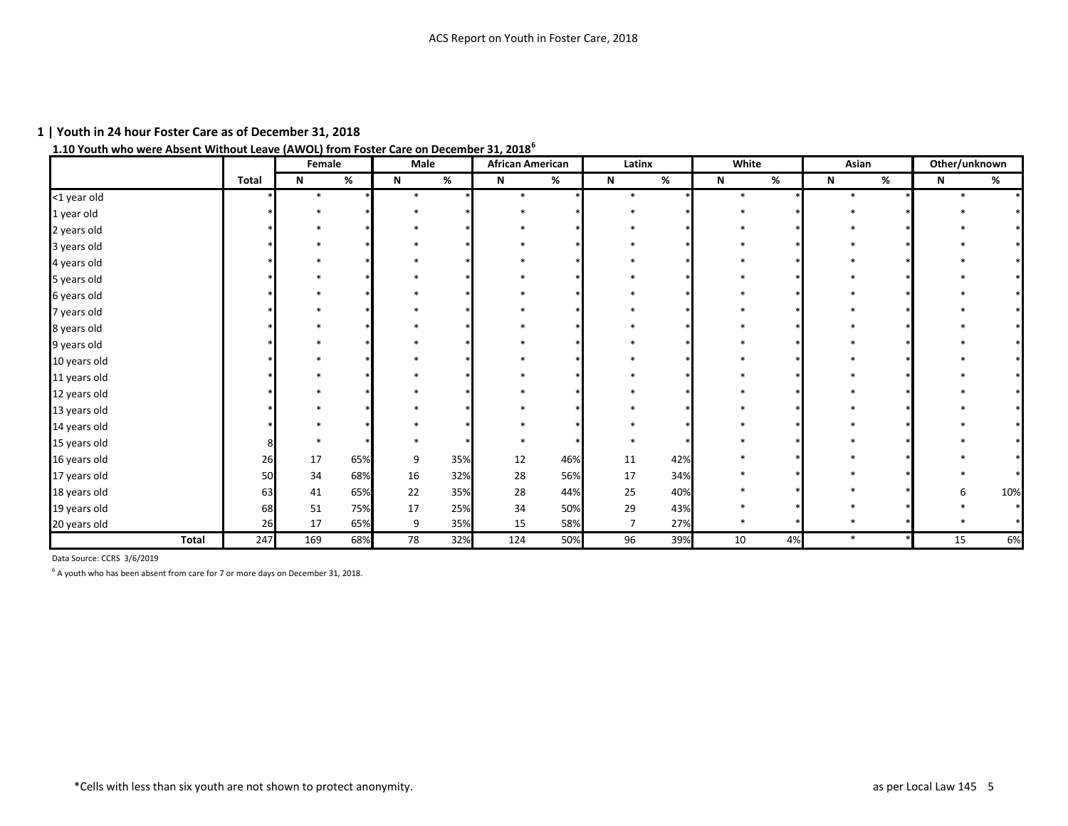# **1.10 Youth who were Absent Without Leave (AWOL) from Foster Care on December 31, 2018<sup>6</sup>**

|              |              | Female |     | Male        |     | <b>African American</b> |     | Latinx         |      | White       |    | Asian       |   | Other/unknown |        |
|--------------|--------------|--------|-----|-------------|-----|-------------------------|-----|----------------|------|-------------|----|-------------|---|---------------|--------|
|              | <b>Total</b> | N      | %   | $\mathsf N$ | %   | $\mathsf{N}$            | %   | $\mathbf N$    | $\%$ | $\mathbf N$ | %  | $\mathsf N$ | % | $\mathsf{N}$  | %      |
| <1 year old  |              | $\ast$ |     | $\ast$      |     | $\ast$                  |     |                |      | $\ast$      |    | $\ast$      |   |               |        |
| 1 year old   |              |        |     |             |     |                         |     |                |      |             |    |             |   |               |        |
| 2 years old  |              |        |     |             |     |                         |     |                |      |             |    |             |   |               |        |
| 3 years old  |              |        |     |             |     |                         |     |                |      |             |    |             |   |               |        |
| 4 years old  |              |        |     |             |     |                         |     |                |      |             |    |             |   |               |        |
| 5 years old  |              |        |     |             |     |                         |     |                |      |             |    |             |   |               |        |
| 6 years old  |              |        |     |             |     |                         |     |                |      |             |    |             |   |               |        |
| 7 years old  |              |        |     |             |     |                         |     |                |      |             |    |             |   |               |        |
| 8 years old  |              |        |     |             |     |                         |     |                |      |             |    |             |   |               |        |
| 9 years old  |              |        |     |             |     |                         |     |                |      |             |    |             |   |               |        |
| 10 years old |              |        |     |             |     |                         |     |                |      |             |    |             |   |               |        |
| 11 years old |              |        |     |             |     |                         |     |                |      |             |    |             |   |               |        |
| 12 years old |              |        |     |             |     |                         |     |                |      |             |    |             |   |               |        |
| 13 years old |              |        |     |             |     |                         |     |                |      |             |    |             |   |               |        |
| 14 years old |              |        |     |             |     |                         |     |                |      |             |    |             |   |               |        |
| 15 years old |              |        |     |             |     |                         |     |                |      |             |    |             |   |               |        |
| 16 years old | 26           | 17     | 65% | 9           | 35% | 12                      | 46% | 11             | 42%  |             |    |             |   |               |        |
| 17 years old | 50           | 34     | 68% | 16          | 32% | 28                      | 56% | 17             | 34%  |             |    |             |   |               | $\ast$ |
| 18 years old | 63           | 41     | 65% | 22          | 35% | 28                      | 44% | 25             | 40%  |             |    |             |   |               | 10%    |
| 19 years old | 68           | 51     | 75% | 17          | 25% | 34                      | 50% | 29             | 43%  |             |    |             |   |               |        |
| 20 years old | 26           | 17     | 65% | 9           | 35% | 15                      | 58% | $\overline{7}$ | 27%  |             |    |             |   |               |        |
| <b>Total</b> | 247          | 169    | 68% | 78          | 32% | 124                     | 50% | 96             | 39%  | 10          | 4% | $\ast$      |   | 15            | 6%     |

Data Source: CCRS 3/6/2019

 $<sup>6</sup>$  A youth who has been absent from care for 7 or more days on December 31, 2018.</sup>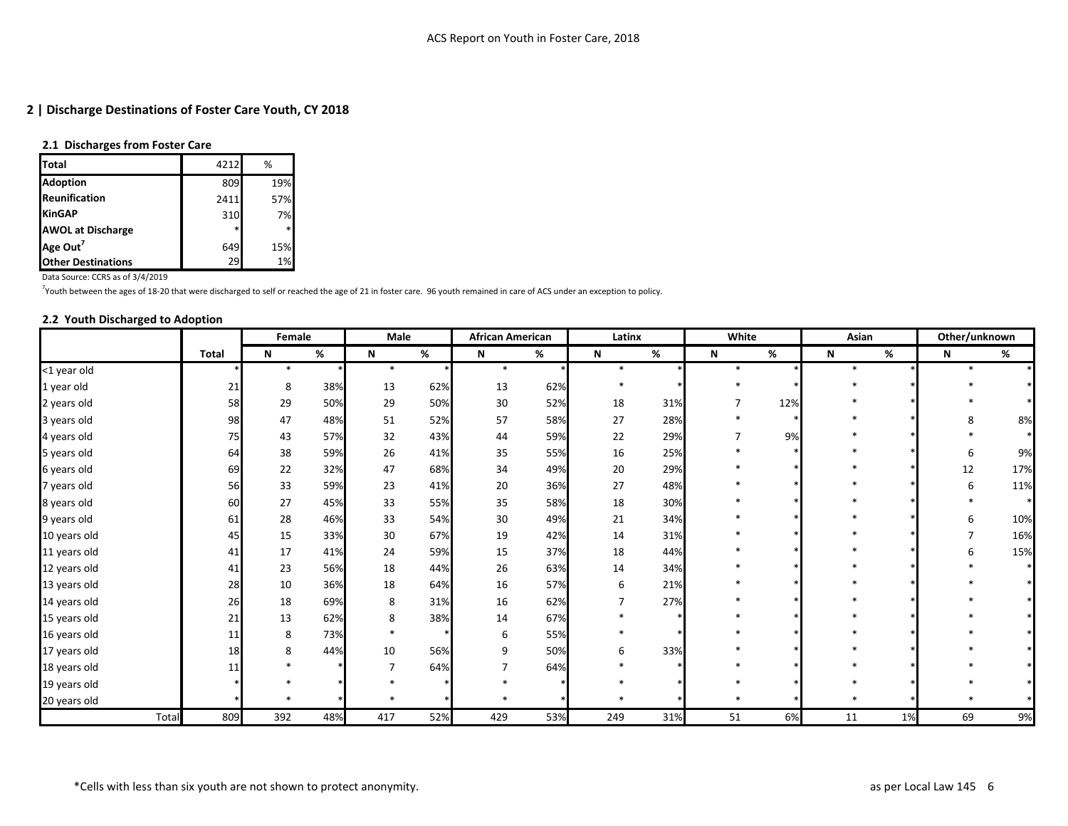### **2.1 Discharges from Foster Care**

| <b>ITotal</b>             | 4212   | %         |
|---------------------------|--------|-----------|
| <b>Adoption</b>           | 809    | 19%       |
| Reunification             | 2411   | 57%       |
| <b>KinGAP</b>             | 310    | <b>7%</b> |
| <b>AWOL at Discharge</b>  | $\ast$ | $\ast$    |
| Age Out <sup>7</sup>      | 649    | 15%       |
| <b>Other Destinations</b> | 29     | 1%        |

Data Source: CCRS as of 3/4/2019

<sup>7</sup>Youth between the ages of 18-20 that were discharged to self or reached the age of 21 in foster care. 96 youth remained in care of ACS under an exception to policy.

### **2.2 Youth Discharged to Adoption**

|              |              | Female  |     | Male   |     | <b>African American</b> |      | Latinx         |     | White  |     | Asian  |    | Other/unknown |        |
|--------------|--------------|---------|-----|--------|-----|-------------------------|------|----------------|-----|--------|-----|--------|----|---------------|--------|
|              | <b>Total</b> | N       | %   | N      | %   | N                       | $\%$ | N              | %   | N      | %   | N      | %  | N             | %      |
| <1 year old  |              | $\ast$  |     | $\ast$ |     | $\ast$                  |      | $\ast$         |     | $\ast$ |     | $\ast$ |    |               |        |
| 1 year old   | 21           | 8       | 38% | 13     | 62% | 13                      | 62%  | $\ast$         |     | $\ast$ |     |        |    |               |        |
| 2 years old  | 58           | 29      | 50% | 29     | 50% | 30                      | 52%  | 18             | 31% |        | 12% |        |    |               |        |
| 3 years old  | 98           | 47      | 48% | 51     | 52% | 57                      | 58%  | 27             | 28% |        |     |        |    | 8             | 8%     |
| 4 years old  | 75           | 43      | 57% | 32     | 43% | 44                      | 59%  | 22             | 29% |        | 9%  |        |    |               | $\ast$ |
| 5 years old  | 64           | 38      | 59% | 26     | 41% | 35                      | 55%  | 16             | 25% |        |     |        |    | 6             | 9%     |
| 6 years old  | 69           | 22      | 32% | 47     | 68% | 34                      | 49%  | 20             | 29% |        |     |        |    | $12\,$        | 17%    |
| 7 years old  | 56           | 33      | 59% | 23     | 41% | 20                      | 36%  | 27             | 48% |        |     |        |    | 6             | 11%    |
| 8 years old  | 60           | 27      | 45% | 33     | 55% | 35                      | 58%  | 18             | 30% |        |     |        |    |               | $\ast$ |
| 9 years old  | 61           | 28      | 46% | 33     | 54% | 30                      | 49%  | 21             | 34% |        |     |        |    | 6             | 10%    |
| 10 years old | 45           | 15      | 33% | 30     | 67% | 19                      | 42%  | 14             | 31% |        |     |        |    |               | 16%    |
| 11 years old | 41           | 17      | 41% | 24     | 59% | 15                      | 37%  | 18             | 44% |        |     |        |    | 6             | 15%    |
| 12 years old | 41           | 23      | 56% | $18\,$ | 44% | 26                      | 63%  | 14             | 34% |        |     |        |    |               | $\ast$ |
| 13 years old | 28           | 10      | 36% | 18     | 64% | 16                      | 57%  | 6              | 21% |        |     |        |    |               |        |
| 14 years old | 26           | 18      | 69% | 8      | 31% | 16                      | 62%  | $\overline{7}$ | 27% |        |     |        |    |               |        |
| 15 years old | 21           | 13      | 62% | 8      | 38% | 14                      | 67%  |                |     |        |     |        |    |               |        |
| 16 years old | 11           | 8       | 73% | $\ast$ |     | 6                       | 55%  |                |     |        |     |        |    |               |        |
| 17 years old | 18           | $\bf 8$ | 44% | 10     | 56% | 9                       | 50%  | 6              | 33% |        |     |        |    |               |        |
| 18 years old | 11           |         |     | 7      | 64% |                         | 64%  |                |     |        |     |        |    |               |        |
| 19 years old |              |         |     |        |     |                         |      |                |     |        |     |        |    |               |        |
| 20 years old |              | $\ast$  |     | $\ast$ |     |                         |      |                |     | $\ast$ |     |        |    |               |        |
| Total        | 809          | 392     | 48% | 417    | 52% | 429                     | 53%  | 249            | 31% | 51     | 6%  | 11     | 1% | 69            | 9%     |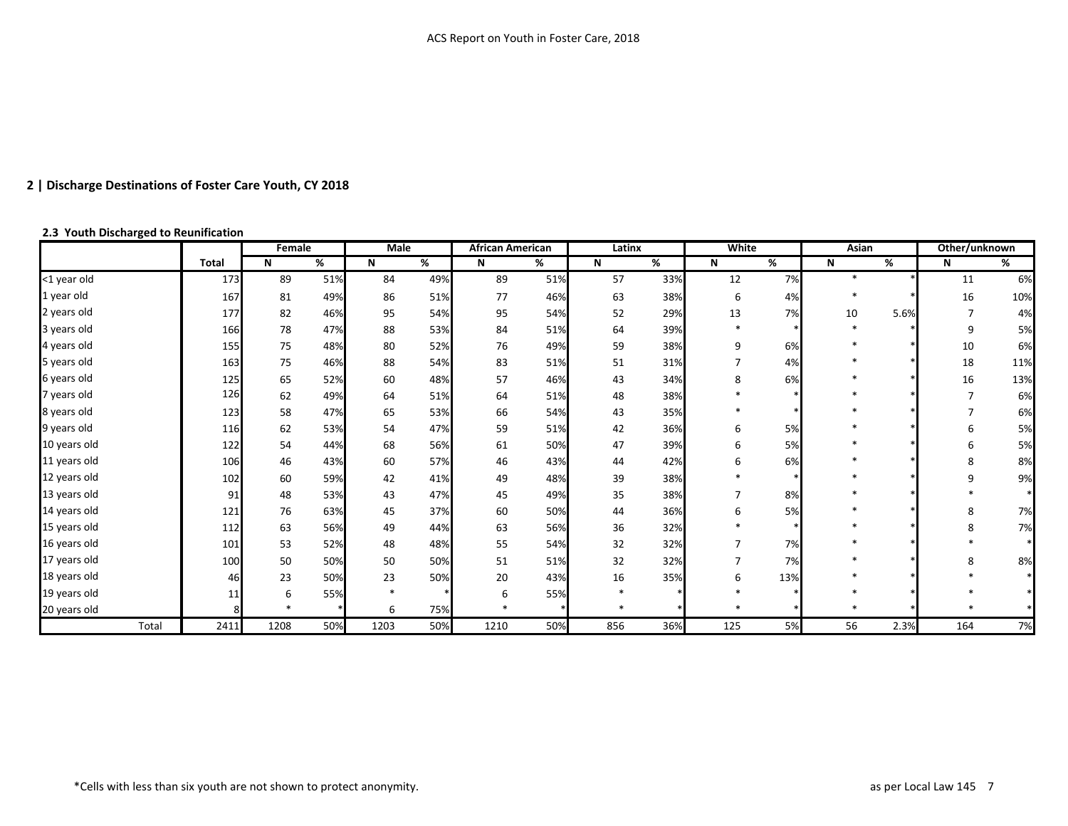#### **2.3 Youth Discharged to Reunification**

|              |              | Female |     | Male   |     | African American |     | Latinx |     | <b>White</b>   |                          | Asian  |      | Other/unknown  |                          |
|--------------|--------------|--------|-----|--------|-----|------------------|-----|--------|-----|----------------|--------------------------|--------|------|----------------|--------------------------|
|              | <b>Total</b> | N      | %   | N      | %   | N                | %   | N      | %   | N              | $\overline{\mathscr{C}}$ | N      | %    | N              | $\overline{\mathscr{C}}$ |
| <1 year old  | 173          | 89     | 51% | 84     | 49% | 89               | 51% | 57     | 33% | 12             | 7%                       | $\ast$ |      | 11             | 6%                       |
| 1 year old   | 167          | 81     | 49% | 86     | 51% | 77               | 46% | 63     | 38% | 6              | 4%                       |        |      | 16             | 10%                      |
| 2 years old  | 177          | 82     | 46% | 95     | 54% | 95               | 54% | 52     | 29% | 13             | 7%                       | 10     | 5.6% |                | 4%                       |
| 3 years old  | 166          | 78     | 47% | 88     | 53% | 84               | 51% | 64     | 39% | $\ast$         |                          |        |      | 9              | 5%                       |
| 4 years old  | 155          | 75     | 48% | 80     | 52% | 76               | 49% | 59     | 38% | 9              | 6%                       |        |      | $10\,$         | 6%                       |
| 5 years old  | 163          | 75     | 46% | 88     | 54% | 83               | 51% | 51     | 31% | $\overline{7}$ | 4%                       |        |      | 18             | 11%                      |
| 6 years old  | 125          | 65     | 52% | 60     | 48% | 57               | 46% | 43     | 34% | 8              | 6%                       |        |      | 16             | 13%                      |
| 7 years old  | 126          | 62     | 49% | 64     | 51% | 64               | 51% | 48     | 38% |                |                          |        |      | $\overline{7}$ | 6%                       |
| 8 years old  | 123          | 58     | 47% | 65     | 53% | 66               | 54% | 43     | 35% |                |                          |        |      | $\overline{7}$ | 6%                       |
| 9 years old  | 116          | 62     | 53% | 54     | 47% | 59               | 51% | 42     | 36% | 6              | 5%                       |        |      | 6              | 5%                       |
| 10 years old | 122          | 54     | 44% | 68     | 56% | 61               | 50% | 47     | 39% | 6              | 5%                       |        |      | 6              | 5%                       |
| 11 years old | 106          | 46     | 43% | 60     | 57% | 46               | 43% | 44     | 42% | 6              | 6%                       |        |      | 8              | 8%                       |
| 12 years old | 102          | 60     | 59% | 42     | 41% | 49               | 48% | 39     | 38% |                |                          |        |      | 9              | 9%                       |
| 13 years old | 91           | 48     | 53% | 43     | 47% | 45               | 49% | 35     | 38% | $\overline{7}$ | 8%                       |        |      |                |                          |
| 14 years old | 121          | 76     | 63% | 45     | 37% | 60               | 50% | 44     | 36% | 6              | 5%                       |        |      | 8              | 7%                       |
| 15 years old | 112          | 63     | 56% | 49     | 44% | 63               | 56% | 36     | 32% |                |                          |        |      | 8              | 7%                       |
| 16 years old | 101          | 53     | 52% | 48     | 48% | 55               | 54% | 32     | 32% | 7              | 7%                       |        |      |                |                          |
| 17 years old | 100          | 50     | 50% | 50     | 50% | 51               | 51% | 32     | 32% | $\overline{7}$ | 7%                       |        |      | 8              | 8%                       |
| 18 years old | 46           | 23     | 50% | 23     | 50% | 20               | 43% | 16     | 35% | 6              | 13%                      |        |      |                |                          |
| 19 years old | 11           | 6      | 55% | $\ast$ |     | 6                | 55% |        |     |                |                          |        |      |                |                          |
| 20 years old |              |        |     | 6      | 75% |                  |     |        |     |                |                          |        |      |                |                          |
| Total        | 2411         | 1208   | 50% | 1203   | 50% | 1210             | 50% | 856    | 36% | 125            | 5%                       | 56     | 2.3% | 164            | 7%                       |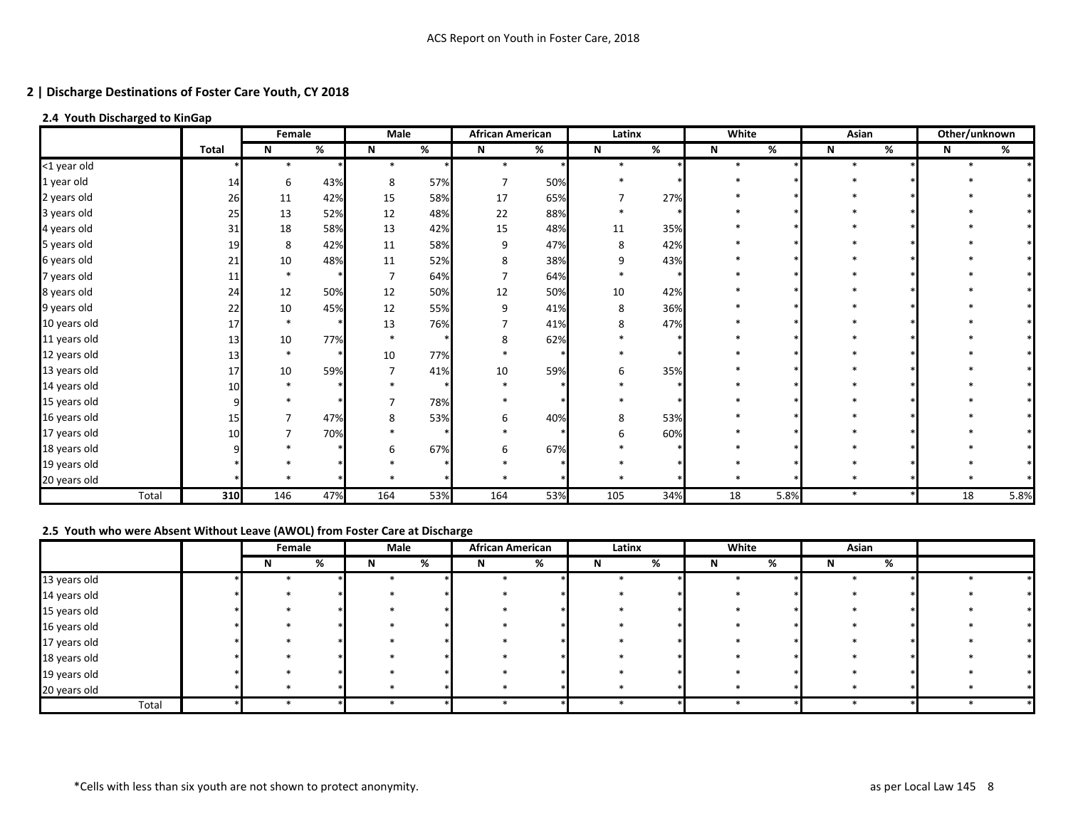# **2.4 Youth Discharged to KinGap**

|              |              | Female |      | Male           |     | <b>African American</b> |      | Latinx       |     | <b>White</b> |      | Asian  | Other/unknown |      |
|--------------|--------------|--------|------|----------------|-----|-------------------------|------|--------------|-----|--------------|------|--------|---------------|------|
|              | <b>Total</b> | N      | $\%$ | N              | %   | N                       | $\%$ | $\mathsf{N}$ | %   | N            | %    | %<br>N | N             | %    |
| <1 year old  |              | $\ast$ |      | $\ast$         |     | 业                       |      |              |     | $\ast$       |      |        |               |      |
| 1 year old   | 14           | 6      | 43%  | 8              | 57% | $\overline{7}$          | 50%  |              |     |              |      |        |               |      |
| 2 years old  | 26           | 11     | 42%  | 15             | 58% | 17                      | 65%  |              | 27% |              |      |        |               |      |
| 3 years old  | 25           | 13     | 52%  | 12             | 48% | 22                      | 88%  |              |     |              |      |        |               |      |
| 4 years old  | 31           | 18     | 58%  | 13             | 42% | 15                      | 48%  | 11           | 35% |              |      |        |               |      |
| 5 years old  | 19           | 8      | 42%  | 11             | 58% | 9                       | 47%  | 8            | 42% |              |      |        |               |      |
| 6 years old  | 21           | $10\,$ | 48%  | $11\,$         | 52% | 8                       | 38%  | 9            | 43% |              |      |        |               |      |
| 7 years old  |              |        |      | $\overline{7}$ | 64% | $\overline{7}$          | 64%  |              |     |              |      |        |               |      |
| 8 years old  | 24           | 12     | 50%  | 12             | 50% | 12                      | 50%  | 10           | 42% |              |      |        |               |      |
| 9 years old  | 22           | $10\,$ | 45%  | 12             | 55% | 9                       | 41%  | 8            | 36% |              |      |        |               |      |
| 10 years old | 17           |        |      | 13             | 76% |                         | 41%  | 8            | 47% |              |      |        |               |      |
| 11 years old | 13           | 10     | 77%  | $\ast$         |     | 8                       | 62%  |              |     |              |      |        |               |      |
| 12 years old | 13           | $\ast$ |      | 10             | 77% |                         |      |              |     |              |      |        |               |      |
| 13 years old | 17           | 10     | 59%  | 7              | 41% | 10                      | 59%  |              | 35% |              |      |        |               |      |
| 14 years old |              |        |      |                |     |                         |      |              |     |              |      |        |               |      |
| 15 years old |              |        |      | $\overline{7}$ | 78% |                         |      |              |     |              |      |        |               |      |
| 16 years old | 15           |        | 47%  | 8              | 53% | 6                       | 40%  | 8            | 53% |              |      |        |               |      |
| 17 years old |              |        | 70%  |                |     |                         |      |              | 60% |              |      |        |               |      |
| 18 years old |              |        |      |                | 67% | 6                       | 67%  |              |     |              |      |        |               |      |
| 19 years old |              |        |      |                |     |                         |      |              |     |              |      |        |               |      |
| 20 years old |              |        |      |                |     |                         |      |              |     |              |      |        |               |      |
| Total        | 310          | 146    | 47%  | 164            | 53% | 164                     | 53%  | 105          | 34% | 18           | 5.8% | $\ast$ | 18            | 5.8% |

# **2.5 Youth who were Absent Without Leave (AWOL) from Foster Care at Discharge**

|              | Female |   | Male |   | <b>African American</b> |   | Latinx |   | White |   | Asian |   |  |
|--------------|--------|---|------|---|-------------------------|---|--------|---|-------|---|-------|---|--|
|              |        | % | N    | % | N                       | % | N.     | % | N     | % |       | % |  |
| 13 years old |        |   |      |   |                         |   |        |   |       |   |       |   |  |
| 14 years old |        |   |      |   |                         |   |        |   |       |   |       |   |  |
| 15 years old |        |   |      |   |                         |   |        |   |       |   |       |   |  |
| 16 years old |        |   |      |   |                         |   |        |   |       |   |       |   |  |
| 17 years old |        |   |      |   |                         |   |        |   |       |   |       |   |  |
| 18 years old |        |   |      |   |                         |   |        |   |       |   |       |   |  |
| 19 years old |        |   |      |   |                         |   |        |   |       |   |       |   |  |
| 20 years old |        |   |      |   |                         |   |        |   |       |   |       |   |  |
| Total        |        |   |      |   |                         |   |        |   |       |   |       |   |  |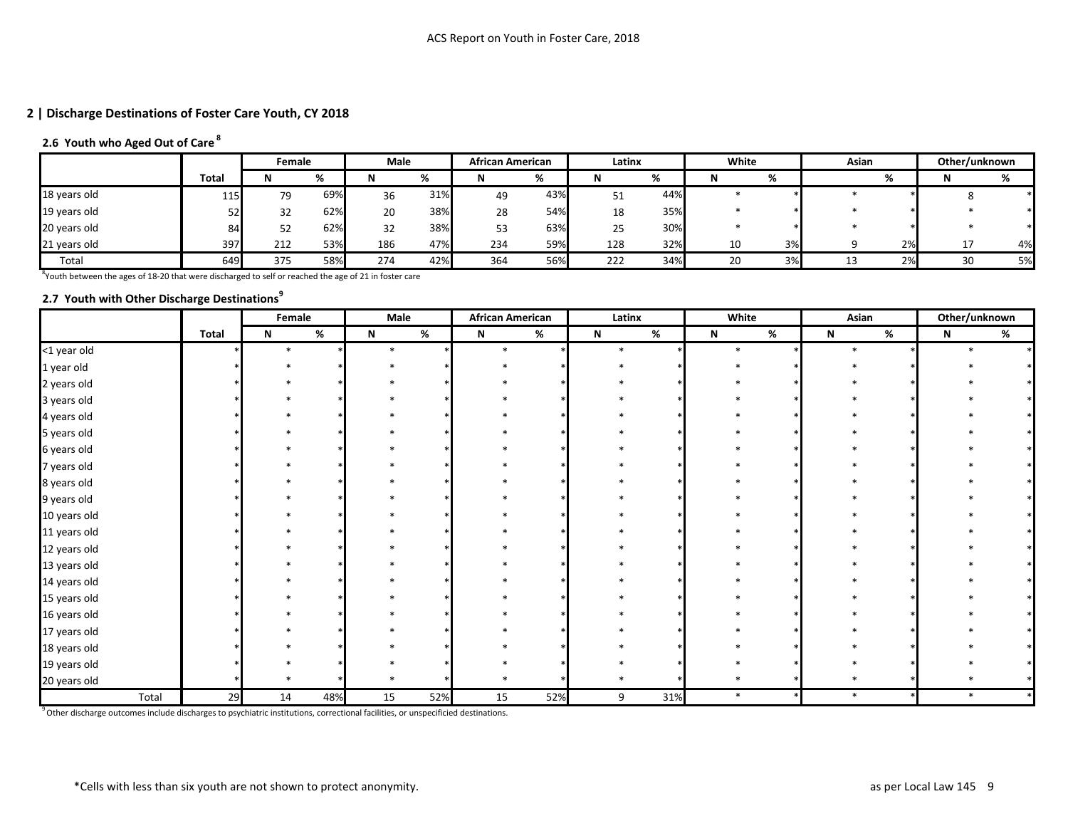# **2.6 Youth who Aged Out of Care<sup>8</sup>**

|              |              | Female |     | Male |          | <b>African American</b> |     | Latinx |     | White |    | Asian |    | Other/unknown |    |
|--------------|--------------|--------|-----|------|----------|-------------------------|-----|--------|-----|-------|----|-------|----|---------------|----|
|              | <b>Total</b> | N      | 70  |      | $\alpha$ | N                       | %   |        | %   | M     | %  |       | %  | M             |    |
| 18 years old | 115          | 79     | 69% | 36   | 31%      | 49                      | 43% | 51     | 44% |       |    |       |    |               |    |
| 19 years old |              | 32     | 62% | 20   | 38%      | 28                      | 54% | 18     | 35% |       |    |       |    |               |    |
| 20 years old | O4           | 52     | 62% | 32   | 38%      | 53                      | 63% | 25     | 30% |       |    |       |    |               |    |
| 21 years old | 397          | 212    | 53% | 186  | 47%      | 234                     | 59% | 128    | 32% | 10    | 3% |       | 2% | <b>.</b>      | 4% |
| Total        | 649          | 375    | 58% | 274  | 42%      | 364                     | 56% | 222    | 34% | 20    | 3% |       | 2% | 30            | 5% |

 ${}^{8}$ Youth between the ages of 18-20 that were discharged to self or reached the age of 21 in foster care

# **2.7 Youth with Other Discharge Destinations<sup>9</sup>**

|              |              | Female |     | Male        |      | <b>African American</b> |     | Latinx      |     | White       |   | Asian                     |   |             | Other/unknown |
|--------------|--------------|--------|-----|-------------|------|-------------------------|-----|-------------|-----|-------------|---|---------------------------|---|-------------|---------------|
|              | <b>Total</b> | Ν      | %   | $\mathbf N$ | $\%$ | $\mathsf N$             | %   | $\mathbf N$ | %   | $\mathbf N$ | % | $\boldsymbol{\mathsf{N}}$ | % | $\mathbf N$ | %             |
| <1 year old  |              |        |     | $\ast$      |      |                         |     |             |     | $\ast$      |   |                           |   |             |               |
| 1 year old   |              |        |     |             |      |                         |     |             |     |             |   |                           |   |             |               |
| 2 years old  |              |        |     |             |      |                         |     |             |     |             |   |                           |   |             |               |
| 3 years old  |              |        |     |             |      |                         |     |             |     |             |   |                           |   |             |               |
| 4 years old  |              |        |     |             |      |                         |     |             |     |             |   |                           |   |             |               |
| 5 years old  |              |        |     |             |      |                         |     |             |     |             |   |                           |   |             |               |
| 6 years old  |              |        |     |             |      |                         |     |             |     |             |   |                           |   |             |               |
| 7 years old  |              |        |     |             |      |                         |     |             |     |             |   |                           |   |             |               |
| 8 years old  |              |        |     |             |      |                         |     |             |     |             |   |                           |   |             |               |
| 9 years old  |              |        |     |             |      |                         |     |             |     |             |   |                           |   |             |               |
| 10 years old |              |        |     |             |      |                         |     |             |     |             |   |                           |   |             |               |
| 11 years old |              |        |     |             |      |                         |     |             |     |             |   |                           |   |             |               |
| 12 years old |              |        |     |             |      |                         |     |             |     |             |   |                           |   |             |               |
| 13 years old |              |        |     |             |      |                         |     |             |     |             |   |                           |   |             |               |
| 14 years old |              |        |     |             |      |                         |     |             |     |             |   |                           |   |             |               |
| 15 years old |              |        |     |             |      |                         |     |             |     |             |   |                           |   |             |               |
| 16 years old |              |        |     |             |      |                         |     |             |     |             |   |                           |   |             |               |
| 17 years old |              |        |     |             |      |                         |     |             |     |             |   |                           |   |             |               |
| 18 years old |              |        |     |             |      |                         |     |             |     |             |   |                           |   |             |               |
| 19 years old |              |        |     |             |      |                         |     |             |     |             |   |                           |   |             |               |
| 20 years old |              |        |     |             |      |                         |     |             |     |             |   |                           |   |             |               |
| Total        | 29           | 14     | 48% | 15          | 52%  | 15                      | 52% | 9           | 31% | $\ast$      |   | $\ast$                    |   | $\ast$      |               |

 $9$ Other discharge outcomes include discharges to psychiatric institutions, correctional facilities, or unspecificied destinations.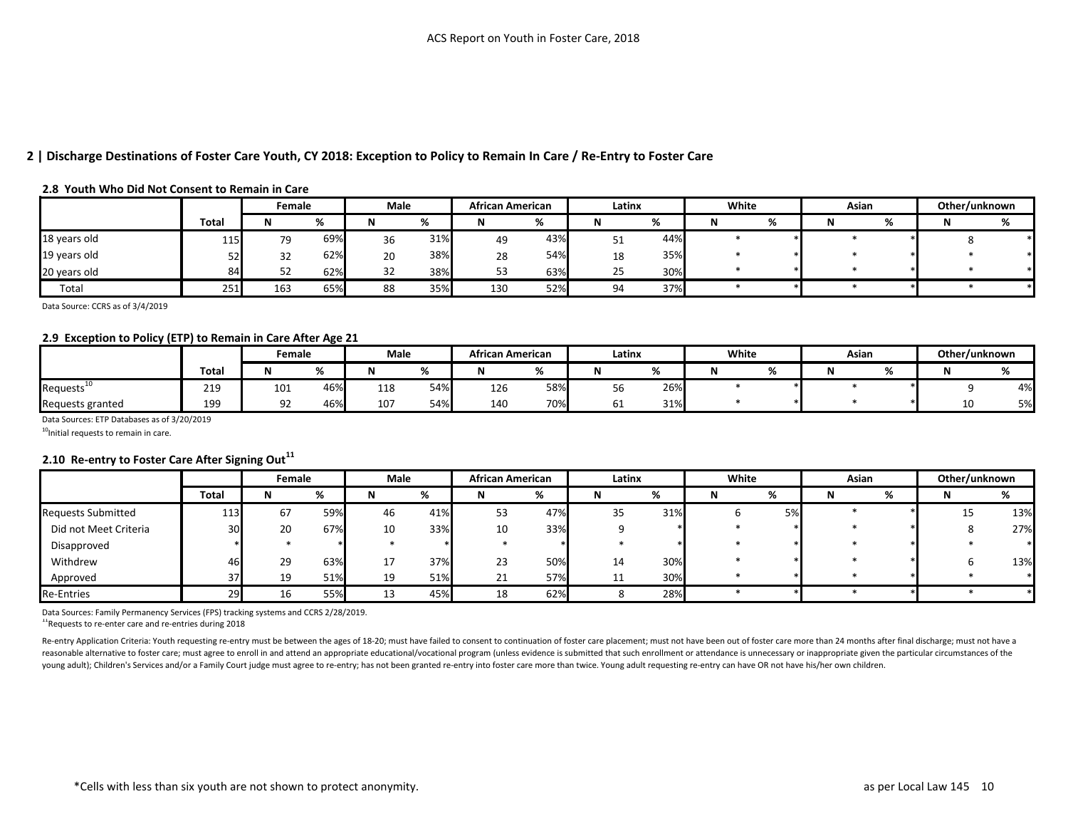### **2 | Discharge Destinations of Foster Care Youth, CY 2018: Exception to Policy to Remain In Care / Re-Entry to Foster Care**

#### **2.8 Youth Who Did Not Consent to Remain in Care**

|              |              | Female |     | Male |     | <b>African American</b> |        | Latinx   |     | White | Asian |                | Other/unknown |    |
|--------------|--------------|--------|-----|------|-----|-------------------------|--------|----------|-----|-------|-------|----------------|---------------|----|
|              | <b>Total</b> |        |     |      |     |                         | $\sim$ |          | %   |       |       | $\alpha$<br>70 |               | 70 |
| 18 years old | 115          | 79     | 69% | 36   | 31% | 49                      | 43%    | ◡        | 44% |       |       |                |               |    |
| 19 years old | ヒつ<br>ے ر    | 32     | 62% | 20   | 38% | 28                      | 54%    | 18       | 35% |       |       |                |               |    |
| 20 years old | 84           | 52     | 62% | 32   | 38% | 53                      | 63%    | رے       | 30% |       |       |                |               |    |
| Total        | 251          | 163    | 65% | 88   | 35% | 130                     | 52%    | <b>O</b> | 37% |       |       |                |               |    |

Data Source: CCRS as of 3/4/2019

#### **2.9 Exception to Policy (ETP) to Remain in Care After Age 21**

|                        |             | Female |     | Male |     | African American |     | Latinx |              | White | Asian |               | Other/unknown |     |
|------------------------|-------------|--------|-----|------|-----|------------------|-----|--------|--------------|-------|-------|---------------|---------------|-----|
|                        | <b>Tota</b> |        |     |      |     |                  |     |        | $\sim$<br>70 |       |       | $\sim$<br>, . |               | , . |
| Requests <sup>10</sup> | 219         | 101    | 46% | 118  | 54% | 126              | 58% |        | 26%          |       |       |               |               | 4%  |
| Requests granted       | 199         | 92     | 46% | 107  | 54% | 140              | 70% | oт     | 31%          |       |       |               | 10<br>πn      | 5%  |

Data Sources: ETP Databases as of 3/20/2019

 $10$ Initial requests to remain in care.

### **2.10 Re-entry to Foster Care After Signing Out<sup>11</sup>**

|                       |       | Female |     | Male    |     | <b>African American</b> |     | Latinx |     | White |    | Asian |   | Other/unknown |     |
|-----------------------|-------|--------|-----|---------|-----|-------------------------|-----|--------|-----|-------|----|-------|---|---------------|-----|
|                       | Total | N      |     |         |     | N                       | %   | N      | %   |       | %  | IV    | % | N             | %   |
| Requests Submitted    | 113   | 67     | 59% | 46      | 41% | 53                      | 47% | 35     | 31% |       | 5% |       |   | 15            | 13% |
| Did not Meet Criteria | 30    | 20     | 67% | 10      | 33% | 10                      | 33% |        |     |       |    |       |   |               | 27% |
| Disapproved           |       |        |     |         |     |                         |     |        |     |       |    |       |   |               |     |
| Withdrew              | 46    | 29     | 63% | 17<br>⊥ | 37% | 23                      | 50% | 14     | 30% |       |    |       |   |               | 13% |
| Approved              | 37    | 19     | 51% | 19      | 51% | <b>01</b><br>44         | 57% |        | 30% |       |    |       |   |               |     |
| <b>Re-Entries</b>     | 29    | 16     | 55% | 13<br>ᅩ | 45% | 18                      | 62% |        | 28% |       |    |       |   |               |     |

Data Sources: Family Permanency Services (FPS) tracking systems and CCRS 2/28/2019.

<sup>11</sup>Requests to re-enter care and re-entries during 2018

Re-entry Application Criteria: Youth requesting re-entry must be between the ages of 18-20; must have failed to consent to continuation of foster care placement; must not have been out of foster care more than 24 months af reasonable alternative to foster care; must agree to enroll in and attend an appropriate educational/vocational program (unless evidence is submitted that such enrollment or attendance is unnecessary or inappropriate given young adult); Children's Services and/or a Family Court judge must agree to re-entry; has not been granted re-entry into foster care more than twice. Young adult requesting re-entry can have OR not have his/her own childre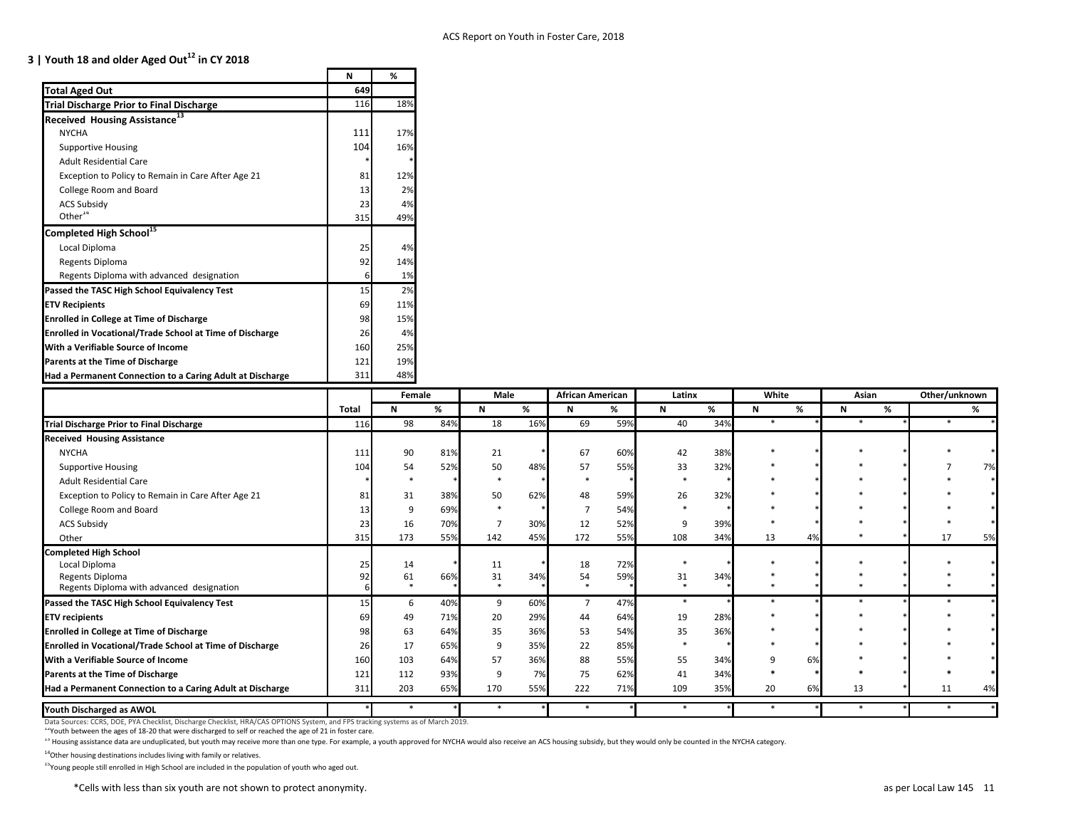# **3 | Youth 18 and older Aged Out<sup>12</sup> in CY 2018**

|                                                                 | N   | %      |
|-----------------------------------------------------------------|-----|--------|
| <b>Total Aged Out</b>                                           | 649 |        |
| <b>Trial Discharge Prior to Final Discharge</b>                 | 116 | 18%    |
| 13<br><b>Received Housing Assistance</b>                        |     |        |
| <b>NYCHA</b>                                                    | 111 | 17%    |
| <b>Supportive Housing</b>                                       | 104 | 16%    |
| <b>Adult Residential Care</b>                                   | *   | *      |
| Exception to Policy to Remain in Care After Age 21              | 81  | 12%    |
| College Room and Board                                          | 13  | 2%     |
| <b>ACS Subsidy</b>                                              | 23  | 4%     |
| Other $14$                                                      | 315 | 49%    |
| Completed High School <sup>15</sup>                             |     |        |
| Local Diploma                                                   | 25  | 4%     |
| Regents Diploma                                                 | 92  | 14%    |
| Regents Diploma with advanced designation                       | 6   | 1%     |
| Passed the TASC High School Equivalency Test                    | 15  | 2%     |
| <b>ETV Recipients</b>                                           | 69  | 11%    |
| <b>Enrolled in College at Time of Discharge</b>                 | 98  | 15%    |
| <b>Enrolled in Vocational/Trade School at Time of Discharge</b> | 26  | 4%     |
| With a Verifiable Source of Income                              | 160 | 25%    |
| <b>Parents at the Time of Discharge</b>                         | 121 | 19%    |
| Had a Permanent Connection to a Caring Adult at Discharge       | 311 | 48%    |
|                                                                 |     | Female |
|                                                                 |     |        |

|                                                                 |       | Female |     | Male |     | <b>African American</b> |     | Latinx       |     | White  |    | Asian  |   | Other/unknown |    |
|-----------------------------------------------------------------|-------|--------|-----|------|-----|-------------------------|-----|--------------|-----|--------|----|--------|---|---------------|----|
|                                                                 | Total | N      | %   | N    | %   | <b>N</b>                | %   | $\mathsf{N}$ | %   | N      | %  | N      | % |               | %  |
| <b>Trial Discharge Prior to Final Discharge</b>                 | 116   | 98     | 84% | 18   | 16% | 69                      | 59% | 40           | 34% | $\ast$ |    | $\ast$ |   |               |    |
| <b>Received Housing Assistance</b>                              |       |        |     |      |     |                         |     |              |     |        |    |        |   |               |    |
| <b>NYCHA</b>                                                    | 111   | 90     | 81% | 21   |     | 67                      | 60% | 42           | 38% |        |    |        |   |               |    |
| <b>Supportive Housing</b>                                       | 104   | 54     | 52% | 50   | 48% | 57                      | 55% | 33           | 32% |        |    |        |   |               | 7% |
| <b>Adult Residential Care</b>                                   |       |        |     |      |     |                         |     |              |     |        |    |        |   |               |    |
| Exception to Policy to Remain in Care After Age 21              | 81    | 31     | 38% | 50   | 62% | 48                      | 59% | 26           | 32% |        |    |        |   |               |    |
| College Room and Board                                          |       |        | 69% |      |     |                         | 54% |              |     |        |    |        |   |               |    |
| <b>ACS Subsidy</b>                                              | 23    | 16     | 70% |      | 30% | 12                      | 52% | 9            | 39% |        |    |        |   |               |    |
| Other                                                           | 315   | 173    | 55% | 142  | 45% | 172                     | 55% | 108          | 34% | 13     | 4% |        |   | 17            | 5% |
| <b>Completed High School</b>                                    |       |        |     |      |     |                         |     |              |     |        |    |        |   |               |    |
| Local Diploma                                                   |       | 14     |     | 11   |     | 18                      | 72% |              |     |        |    |        |   |               |    |
| Regents Diploma                                                 |       | 61     | 66% | 31   | 34% | 54                      | 59% | 31           | 34% |        |    |        |   |               |    |
| Regents Diploma with advanced designation                       |       |        |     |      |     |                         |     |              |     |        |    |        |   |               |    |
| Passed the TASC High School Equivalency Test                    | 15    | 6      | 40% | 9    | 60% | $\overline{7}$          | 47% | $\ast$       |     |        |    |        |   |               |    |
| <b>ETV recipients</b>                                           |       | 49     | 71% | 20   | 29% | 44                      | 64% | 19           | 28% |        |    |        |   |               |    |
| <b>Enrolled in College at Time of Discharge</b>                 |       | 63     | 64% | 35   | 36% | 53                      | 54% | 35           | 36% |        |    |        |   |               |    |
| <b>Enrolled in Vocational/Trade School at Time of Discharge</b> | 26    | 17     | 65% |      | 35% | 22                      | 85% |              |     |        |    |        |   |               |    |
| With a Verifiable Source of Income                              | 160   | 103    | 64% | 57   | 36% | 88                      | 55% | 55           | 34% |        | 6% |        |   |               |    |
| Parents at the Time of Discharge                                | 121   | 112    | 93% | q    | 7%  | 75                      | 62% | 41           | 34% |        |    |        |   |               |    |
| Had a Permanent Connection to a Caring Adult at Discharge       | 311   | 203    | 65% | 170  | 55% | 222                     | 71% | 109          | 35% | 20     | 6% | 13     |   | 11            | 4% |
| Youth Discharged as AWOL                                        |       |        |     |      |     |                         |     | $\ast$       |     |        |    | $\ast$ |   |               |    |

Data Sources: CCRS, DOE, PYA Checklist, Discharge Checklist, HRA/CAS OPTIONS System, and FPS tracking systems as of March 2019.

<sup>12</sup>Youth between the ages of 18-20 that were discharged to self or reached the age of 21 in foster care.

<sup>13</sup> Housing assistance data are unduplicated, but youth may receive more than one type. For example, a youth approved for NYCHA would also receive an ACS housing subsidy, but they would only be counted in the NYCHA catego

 $14$ Other housing destinations includes living with family or relatives.

<sup>15</sup>Young people still enrolled in High School are included in the population of youth who aged out.